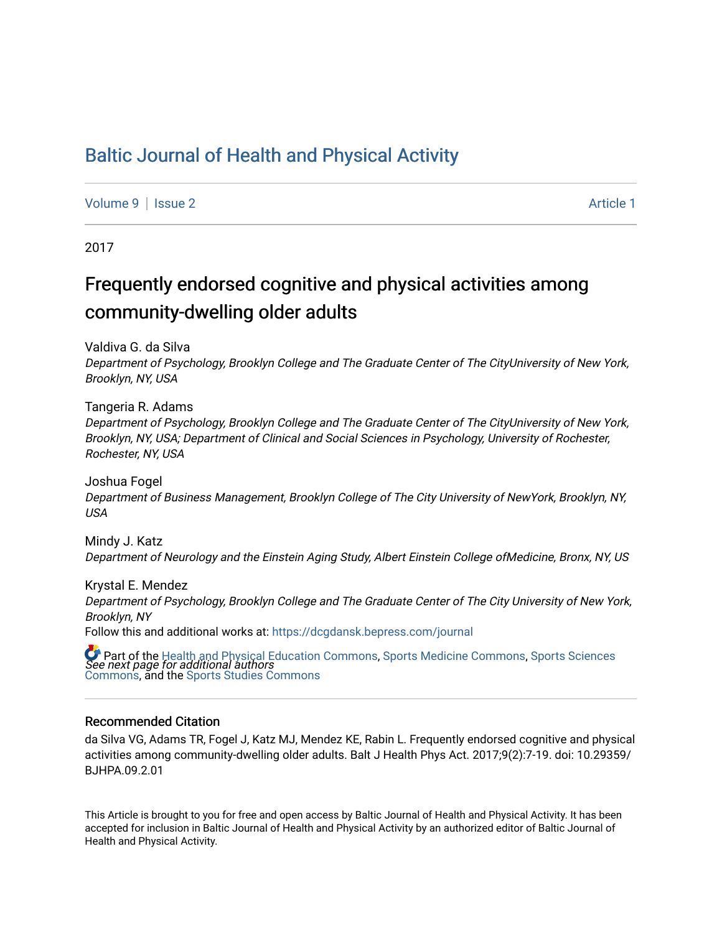# [Baltic Journal of Health and Physical Activity](https://dcgdansk.bepress.com/journal)

[Volume 9](https://dcgdansk.bepress.com/journal/vol9) | [Issue 2](https://dcgdansk.bepress.com/journal/vol9/iss2) Article 1

2017

# Frequently endorsed cognitive and physical activities among community-dwelling older adults

Valdiva G. da Silva

Department of Psychology, Brooklyn College and The Graduate Center of The CityUniversity of New York, Brooklyn, NY, USA

Tangeria R. Adams Department of Psychology, Brooklyn College and The Graduate Center of The CityUniversity of New York, Brooklyn, NY, USA; Department of Clinical and Social Sciences in Psychology, University of Rochester, Rochester, NY, USA

Joshua Fogel Department of Business Management, Brooklyn College of The City University of NewYork, Brooklyn, NY, USA

Mindy J. Katz Department of Neurology and the Einstein Aging Study, Albert Einstein College ofMedicine, Bronx, NY, US

Krystal E. Mendez Department of Psychology, Brooklyn College and The Graduate Center of The City University of New York, Brooklyn, NY Follow this and additional works at: [https://dcgdansk.bepress.com/journal](https://dcgdansk.bepress.com/journal?utm_source=dcgdansk.bepress.com%2Fjournal%2Fvol9%2Fiss2%2F1&utm_medium=PDF&utm_campaign=PDFCoverPages)

 $\bullet$  Part of the [Health and Physical Education Commons](http://network.bepress.com/hgg/discipline/1327?utm_source=dcgdansk.bepress.com%2Fjournal%2Fvol9%2Fiss2%2F1&utm_medium=PDF&utm_campaign=PDFCoverPages), [Sports Medicine Commons,](http://network.bepress.com/hgg/discipline/1331?utm_source=dcgdansk.bepress.com%2Fjournal%2Fvol9%2Fiss2%2F1&utm_medium=PDF&utm_campaign=PDFCoverPages) [Sports Sciences](http://network.bepress.com/hgg/discipline/759?utm_source=dcgdansk.bepress.com%2Fjournal%2Fvol9%2Fiss2%2F1&utm_medium=PDF&utm_campaign=PDFCoverPages)<br>*See next page for additional authors* [Commons](http://network.bepress.com/hgg/discipline/759?utm_source=dcgdansk.bepress.com%2Fjournal%2Fvol9%2Fiss2%2F1&utm_medium=PDF&utm_campaign=PDFCoverPages), and the [Sports Studies Commons](http://network.bepress.com/hgg/discipline/1198?utm_source=dcgdansk.bepress.com%2Fjournal%2Fvol9%2Fiss2%2F1&utm_medium=PDF&utm_campaign=PDFCoverPages) 

#### Recommended Citation

da Silva VG, Adams TR, Fogel J, Katz MJ, Mendez KE, Rabin L. Frequently endorsed cognitive and physical activities among community-dwelling older adults. Balt J Health Phys Act. 2017;9(2):7-19. doi: 10.29359/ BJHPA.09.2.01

This Article is brought to you for free and open access by Baltic Journal of Health and Physical Activity. It has been accepted for inclusion in Baltic Journal of Health and Physical Activity by an authorized editor of Baltic Journal of Health and Physical Activity.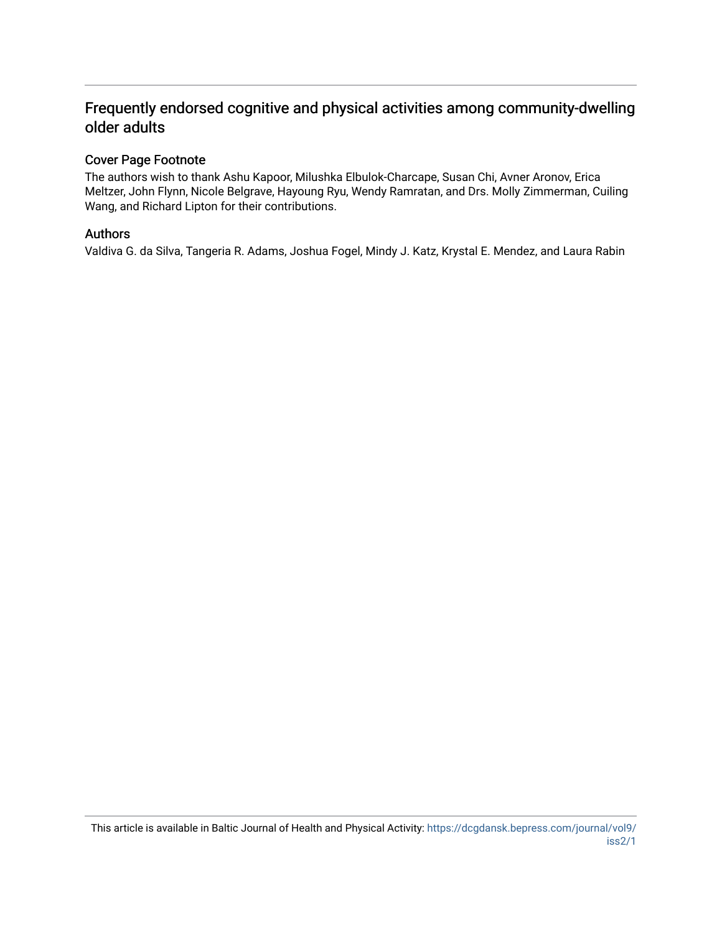# Frequently endorsed cognitive and physical activities among community-dwelling older adults

## Cover Page Footnote

The authors wish to thank Ashu Kapoor, Milushka Elbulok-Charcape, Susan Chi, Avner Aronov, Erica Meltzer, John Flynn, Nicole Belgrave, Hayoung Ryu, Wendy Ramratan, and Drs. Molly Zimmerman, Cuiling Wang, and Richard Lipton for their contributions.

## Authors

Valdiva G. da Silva, Tangeria R. Adams, Joshua Fogel, Mindy J. Katz, Krystal E. Mendez, and Laura Rabin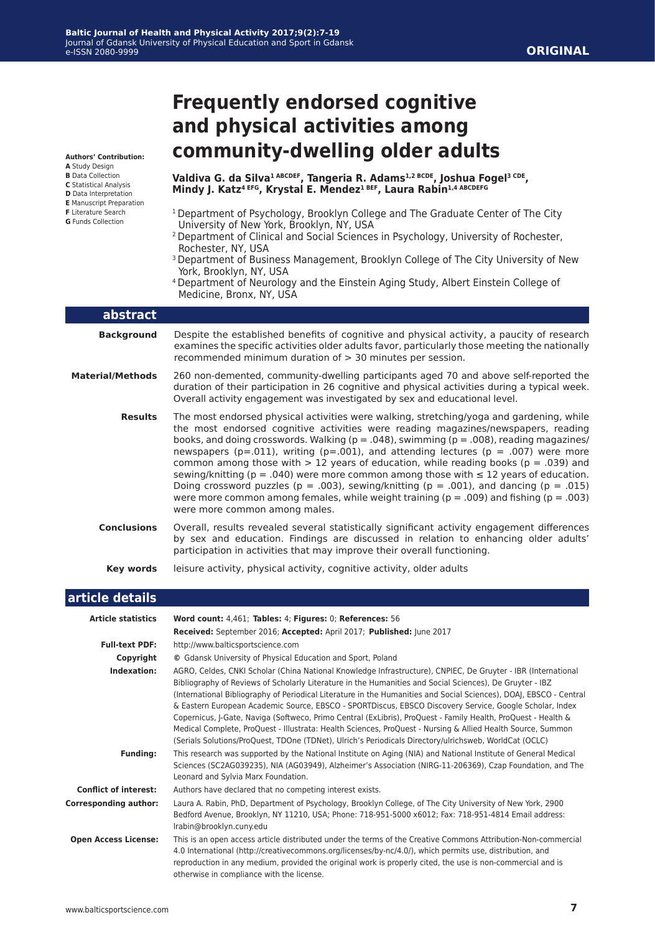# **Frequently endorsed cognitive and physical activities among community-dwelling older adults**

**Valdiva G. da Silva1 ABCDEF, Tangeria R. Adams1,2 BCDE, Joshua Fogel3 CDE, Mindy J. Katz4 EFG, Krystal E. Mendez1 BEF, Laura Rabin1,4 ABCDEFG**

- <sup>1</sup> Department of Psychology, Brooklyn College and The Graduate Center of The City University of New York, Brooklyn, NY, USA
- 2 Department of Clinical and Social Sciences in Psychology, University of Rochester, Rochester, NY, USA
- <sup>3</sup> Department of Business Management, Brooklyn College of The City University of New York, Brooklyn, NY, USA
- 4 Department of Neurology and the Einstein Aging Study, Albert Einstein College of Medicine, Bronx, NY, USA

| abstract                |                                                                                                                                                                                                                                                                                                                                                                                                                                                                                                                                                                                                                                                                                                                                                                                                                  |
|-------------------------|------------------------------------------------------------------------------------------------------------------------------------------------------------------------------------------------------------------------------------------------------------------------------------------------------------------------------------------------------------------------------------------------------------------------------------------------------------------------------------------------------------------------------------------------------------------------------------------------------------------------------------------------------------------------------------------------------------------------------------------------------------------------------------------------------------------|
| <b>Background</b>       | Despite the established benefits of cognitive and physical activity, a paucity of research<br>examines the specific activities older adults favor, particularly those meeting the nationally<br>recommended minimum duration of $>$ 30 minutes per session.                                                                                                                                                                                                                                                                                                                                                                                                                                                                                                                                                      |
| <b>Material/Methods</b> | 260 non-demented, community-dwelling participants aged 70 and above self-reported the<br>duration of their participation in 26 cognitive and physical activities during a typical week.<br>Overall activity engagement was investigated by sex and educational level.                                                                                                                                                                                                                                                                                                                                                                                                                                                                                                                                            |
| <b>Results</b>          | The most endorsed physical activities were walking, stretching/yoga and gardening, while<br>the most endorsed cognitive activities were reading magazines/newspapers, reading<br>books, and doing crosswords. Walking ( $p = .048$ ), swimming ( $p = .008$ ), reading magazines/<br>newspapers (p=.011), writing (p=.001), and attending lectures (p = .007) were more<br>common among those with $> 12$ years of education, while reading books ( $p = .039$ ) and<br>sewing/knitting ( $p = .040$ ) were more common among those with $\leq 12$ years of education.<br>Doing crossword puzzles ( $p = .003$ ), sewing/knitting ( $p = .001$ ), and dancing ( $p = .015$ )<br>were more common among females, while weight training ( $p = .009$ ) and fishing ( $p = .003$ )<br>were more common among males. |
| <b>Conclusions</b>      | Overall, results revealed several statistically significant activity engagement differences<br>by sex and education. Findings are discussed in relation to enhancing older adults'<br>participation in activities that may improve their overall functioning.                                                                                                                                                                                                                                                                                                                                                                                                                                                                                                                                                    |
| Key words               | leisure activity, physical activity, cognitive activity, older adults                                                                                                                                                                                                                                                                                                                                                                                                                                                                                                                                                                                                                                                                                                                                            |

### **article details**

| <b>Article statistics</b>    | Word count: 4,461; Tables: 4; Figures: 0; References: 56                                                                                                                                                                                                                                                                                                                                                                                                                                                                                                                                                                                                                                                                                                                                             |  |  |  |
|------------------------------|------------------------------------------------------------------------------------------------------------------------------------------------------------------------------------------------------------------------------------------------------------------------------------------------------------------------------------------------------------------------------------------------------------------------------------------------------------------------------------------------------------------------------------------------------------------------------------------------------------------------------------------------------------------------------------------------------------------------------------------------------------------------------------------------------|--|--|--|
|                              | Received: September 2016; Accepted: April 2017; Published: June 2017                                                                                                                                                                                                                                                                                                                                                                                                                                                                                                                                                                                                                                                                                                                                 |  |  |  |
| <b>Full-text PDF:</b>        | http://www.balticsportscience.com                                                                                                                                                                                                                                                                                                                                                                                                                                                                                                                                                                                                                                                                                                                                                                    |  |  |  |
| Copyright                    | © Gdansk University of Physical Education and Sport, Poland                                                                                                                                                                                                                                                                                                                                                                                                                                                                                                                                                                                                                                                                                                                                          |  |  |  |
| Indexation:                  | AGRO, Celdes, CNKI Scholar (China National Knowledge Infrastructure), CNPIEC, De Gruyter - IBR (International<br>Bibliography of Reviews of Scholarly Literature in the Humanities and Social Sciences), De Gruyter - IBZ<br>(International Bibliography of Periodical Literature in the Humanities and Social Sciences), DOAI, EBSCO - Central<br>& Eastern European Academic Source, EBSCO - SPORTDiscus, EBSCO Discovery Service, Google Scholar, Index<br>Copernicus, J-Gate, Naviga (Softweco, Primo Central (ExLibris), ProQuest - Family Health, ProQuest - Health &<br>Medical Complete, ProQuest - Illustrata: Health Sciences, ProQuest - Nursing & Allied Health Source, Summon<br>(Serials Solutions/ProQuest, TDOne (TDNet), Ulrich's Periodicals Directory/ulrichsweb, WorldCat (OCLC) |  |  |  |
| <b>Funding:</b>              | This research was supported by the National Institute on Aging (NIA) and National Institute of General Medical<br>Sciences (SC2AG039235), NIA (AG03949), Alzheimer's Association (NIRG-11-206369), Czap Foundation, and The<br>Leonard and Sylvia Marx Foundation.                                                                                                                                                                                                                                                                                                                                                                                                                                                                                                                                   |  |  |  |
| <b>Conflict of interest:</b> | Authors have declared that no competing interest exists.                                                                                                                                                                                                                                                                                                                                                                                                                                                                                                                                                                                                                                                                                                                                             |  |  |  |
| <b>Corresponding author:</b> | Laura A. Rabin, PhD, Department of Psychology, Brooklyn College, of The City University of New York, 2900<br>Bedford Avenue, Brooklyn, NY 11210, USA; Phone: 718-951-5000 x6012; Fax: 718-951-4814 Email address:<br>Irabin@brooklyn.cuny.edu                                                                                                                                                                                                                                                                                                                                                                                                                                                                                                                                                        |  |  |  |
| <b>Open Access License:</b>  | This is an open access article distributed under the terms of the Creative Commons Attribution-Non-commercial<br>4.0 International (http://creativecommons.org/licenses/by-nc/4.0/), which permits use, distribution, and<br>reproduction in any medium, provided the original work is properly cited, the use is non-commercial and is<br>otherwise in compliance with the license.                                                                                                                                                                                                                                                                                                                                                                                                                 |  |  |  |

#### **B** Data Collection **C** Statistical Analysis

**Authors' Contribution: A** Study Design

- **D** Data Interpretation
- **E** Manuscript Preparation
- **F** Literature Search **G** Funds Collection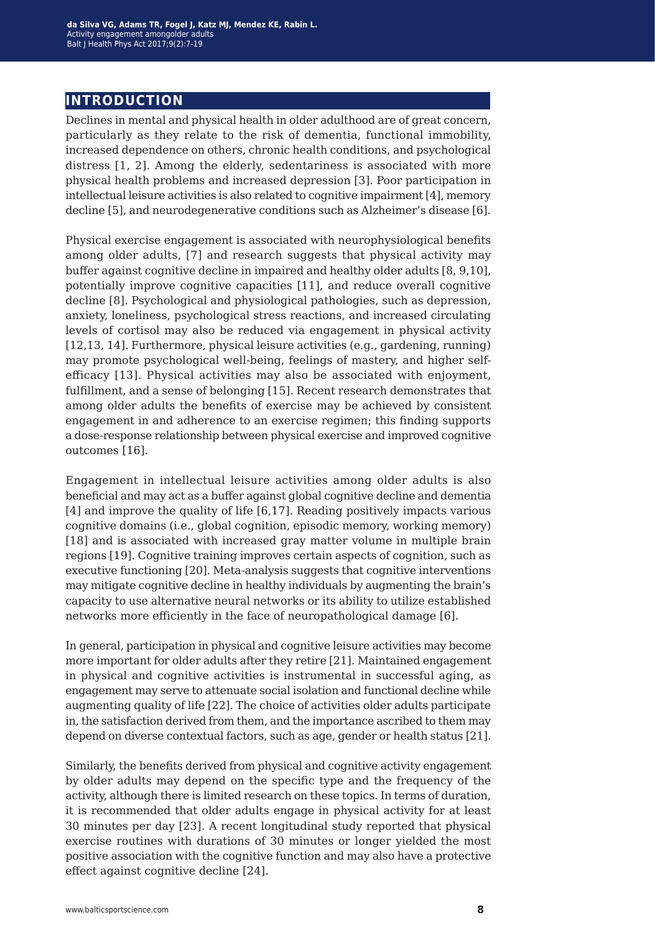## **introduction**

Declines in mental and physical health in older adulthood are of great concern, particularly as they relate to the risk of dementia, functional immobility, increased dependence on others, chronic health conditions, and psychological distress [1, 2]. Among the elderly, sedentariness is associated with more physical health problems and increased depression [3]. Poor participation in intellectual leisure activities is also related to cognitive impairment [4], memory decline [5], and neurodegenerative conditions such as Alzheimer's disease [6].

Physical exercise engagement is associated with neurophysiological benefits among older adults, [7] and research suggests that physical activity may buffer against cognitive decline in impaired and healthy older adults [8, 9,10], potentially improve cognitive capacities [11], and reduce overall cognitive decline [8]. Psychological and physiological pathologies, such as depression, anxiety, loneliness, psychological stress reactions, and increased circulating levels of cortisol may also be reduced via engagement in physical activity [12,13, 14]. Furthermore, physical leisure activities (e.g., gardening, running) may promote psychological well-being, feelings of mastery, and higher selfefficacy [13]. Physical activities may also be associated with enjoyment, fulfillment, and a sense of belonging [15]. Recent research demonstrates that among older adults the benefits of exercise may be achieved by consistent engagement in and adherence to an exercise regimen; this finding supports a dose-response relationship between physical exercise and improved cognitive outcomes [16].

Engagement in intellectual leisure activities among older adults is also beneficial and may act as a buffer against global cognitive decline and dementia [4] and improve the quality of life [6,17]. Reading positively impacts various cognitive domains (i.e., global cognition, episodic memory, working memory) [18] and is associated with increased gray matter volume in multiple brain regions [19]. Cognitive training improves certain aspects of cognition, such as executive functioning [20]. Meta-analysis suggests that cognitive interventions may mitigate cognitive decline in healthy individuals by augmenting the brain's capacity to use alternative neural networks or its ability to utilize established networks more efficiently in the face of neuropathological damage [6].

In general, participation in physical and cognitive leisure activities may become more important for older adults after they retire [21]. Maintained engagement in physical and cognitive activities is instrumental in successful aging, as engagement may serve to attenuate social isolation and functional decline while augmenting quality of life [22]. The choice of activities older adults participate in, the satisfaction derived from them, and the importance ascribed to them may depend on diverse contextual factors, such as age, gender or health status [21].

Similarly, the benefits derived from physical and cognitive activity engagement by older adults may depend on the specific type and the frequency of the activity, although there is limited research on these topics. In terms of duration, it is recommended that older adults engage in physical activity for at least 30 minutes per day [23]. A recent longitudinal study reported that physical exercise routines with durations of 30 minutes or longer yielded the most positive association with the cognitive function and may also have a protective effect against cognitive decline [24].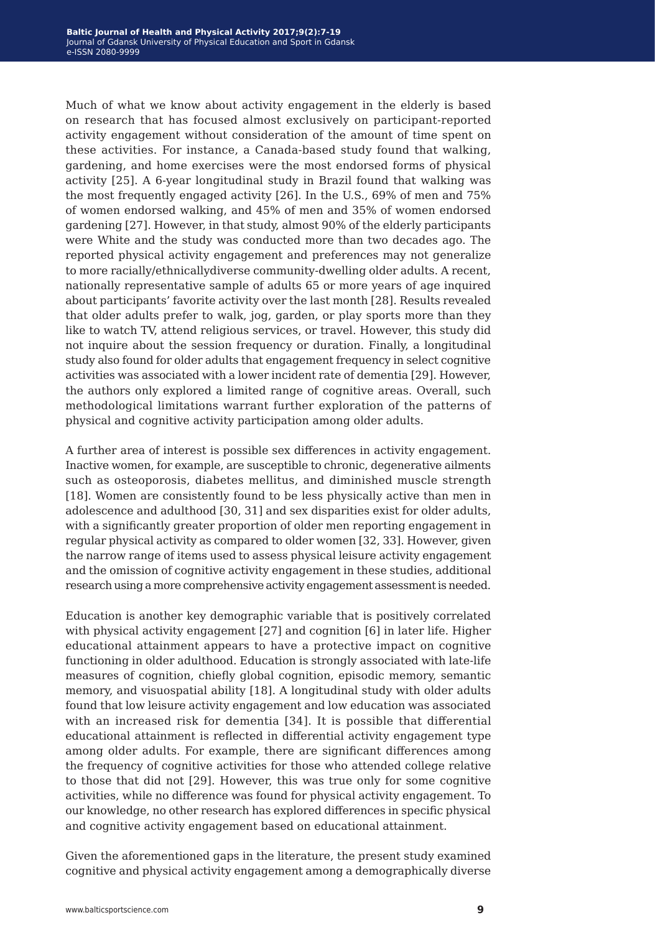Much of what we know about activity engagement in the elderly is based on research that has focused almost exclusively on participant-reported activity engagement without consideration of the amount of time spent on these activities. For instance, a Canada-based study found that walking, gardening, and home exercises were the most endorsed forms of physical activity [25]. A 6-year longitudinal study in Brazil found that walking was the most frequently engaged activity [26]. In the U.S., 69% of men and 75% of women endorsed walking, and 45% of men and 35% of women endorsed gardening [27]. However, in that study, almost 90% of the elderly participants were White and the study was conducted more than two decades ago. The reported physical activity engagement and preferences may not generalize to more racially/ethnicallydiverse community-dwelling older adults. A recent, nationally representative sample of adults 65 or more years of age inquired about participants' favorite activity over the last month [28]. Results revealed that older adults prefer to walk, jog, garden, or play sports more than they like to watch TV, attend religious services, or travel. However, this study did not inquire about the session frequency or duration. Finally, a longitudinal study also found for older adults that engagement frequency in select cognitive activities was associated with a lower incident rate of dementia [29]. However, the authors only explored a limited range of cognitive areas. Overall, such methodological limitations warrant further exploration of the patterns of physical and cognitive activity participation among older adults.

A further area of interest is possible sex differences in activity engagement. Inactive women, for example, are susceptible to chronic, degenerative ailments such as osteoporosis, diabetes mellitus, and diminished muscle strength [18]. Women are consistently found to be less physically active than men in adolescence and adulthood [30, 31] and sex disparities exist for older adults, with a significantly greater proportion of older men reporting engagement in regular physical activity as compared to older women [32, 33]. However, given the narrow range of items used to assess physical leisure activity engagement and the omission of cognitive activity engagement in these studies, additional research using a more comprehensive activity engagement assessment is needed.

Education is another key demographic variable that is positively correlated with physical activity engagement [27] and cognition [6] in later life. Higher educational attainment appears to have a protective impact on cognitive functioning in older adulthood. Education is strongly associated with late-life measures of cognition, chiefly global cognition, episodic memory, semantic memory, and visuospatial ability [18]. A longitudinal study with older adults found that low leisure activity engagement and low education was associated with an increased risk for dementia [34]. It is possible that differential educational attainment is reflected in differential activity engagement type among older adults. For example, there are significant differences among the frequency of cognitive activities for those who attended college relative to those that did not [29]. However, this was true only for some cognitive activities, while no difference was found for physical activity engagement. To our knowledge, no other research has explored differences in specific physical and cognitive activity engagement based on educational attainment.

Given the aforementioned gaps in the literature, the present study examined cognitive and physical activity engagement among a demographically diverse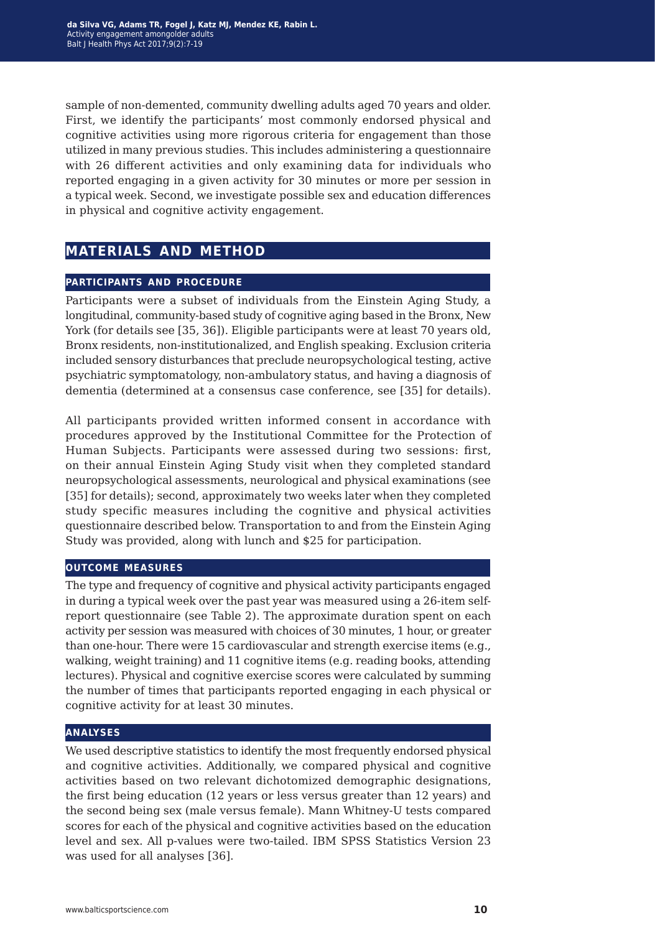sample of non-demented, community dwelling adults aged 70 years and older. First, we identify the participants' most commonly endorsed physical and cognitive activities using more rigorous criteria for engagement than those utilized in many previous studies. This includes administering a questionnaire with 26 different activities and only examining data for individuals who reported engaging in a given activity for 30 minutes or more per session in a typical week. Second, we investigate possible sex and education differences in physical and cognitive activity engagement.

## **materials and method**

### **participants and procedure**

Participants were a subset of individuals from the Einstein Aging Study, a longitudinal, community-based study of cognitive aging based in the Bronx, New York (for details see [35, 36]). Eligible participants were at least 70 years old, Bronx residents, non-institutionalized, and English speaking. Exclusion criteria included sensory disturbances that preclude neuropsychological testing, active psychiatric symptomatology, non-ambulatory status, and having a diagnosis of dementia (determined at a consensus case conference, see [35] for details).

All participants provided written informed consent in accordance with procedures approved by the Institutional Committee for the Protection of Human Subjects. Participants were assessed during two sessions: first, on their annual Einstein Aging Study visit when they completed standard neuropsychological assessments, neurological and physical examinations (see [35] for details); second, approximately two weeks later when they completed study specific measures including the cognitive and physical activities questionnaire described below. Transportation to and from the Einstein Aging Study was provided, along with lunch and \$25 for participation.

### **outcome measures**

The type and frequency of cognitive and physical activity participants engaged in during a typical week over the past year was measured using a 26-item selfreport questionnaire (see Table 2). The approximate duration spent on each activity per session was measured with choices of 30 minutes, 1 hour, or greater than one-hour. There were 15 cardiovascular and strength exercise items (e.g., walking, weight training) and 11 cognitive items (e.g. reading books, attending lectures). Physical and cognitive exercise scores were calculated by summing the number of times that participants reported engaging in each physical or cognitive activity for at least 30 minutes.

### **analyses**

We used descriptive statistics to identify the most frequently endorsed physical and cognitive activities. Additionally, we compared physical and cognitive activities based on two relevant dichotomized demographic designations, the first being education (12 years or less versus greater than 12 years) and the second being sex (male versus female). Mann Whitney-U tests compared scores for each of the physical and cognitive activities based on the education level and sex. All p-values were two-tailed. IBM SPSS Statistics Version 23 was used for all analyses [36].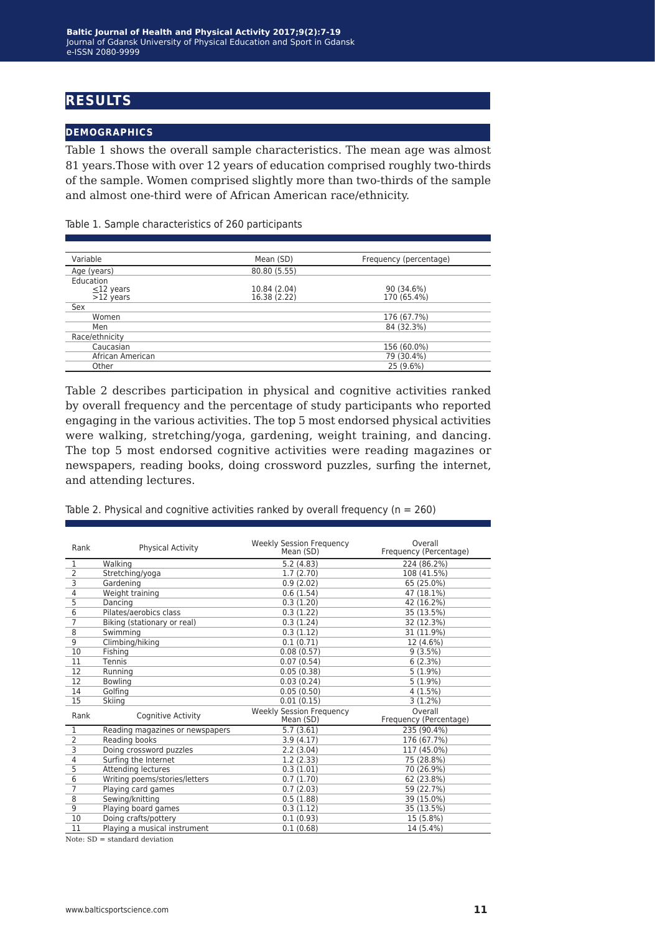## **results**

### **demographics**

Table 1 shows the overall sample characteristics. The mean age was almost 81 years.Those with over 12 years of education comprised roughly two-thirds of the sample. Women comprised slightly more than two-thirds of the sample and almost one-third were of African American race/ethnicity.

Table 1. Sample characteristics of 260 participants

| Variable                                    | Mean (SD)                    | Frequency (percentage)    |
|---------------------------------------------|------------------------------|---------------------------|
| Age (years)                                 | 80.80 (5.55)                 |                           |
| Education<br>$\leq$ 12 years<br>$>12$ years | 10.84 (2.04)<br>16.38 (2.22) | 90 (34.6%)<br>170 (65.4%) |
| Sex                                         |                              |                           |
| Women                                       |                              | 176 (67.7%)               |
| Men                                         |                              | 84 (32.3%)                |
| Race/ethnicity                              |                              |                           |
| Caucasian                                   |                              | 156 (60.0%)               |
| African American                            |                              | 79 (30.4%)                |
| Other                                       |                              | 25 (9.6%)                 |

Table 2 describes participation in physical and cognitive activities ranked by overall frequency and the percentage of study participants who reported engaging in the various activities. The top 5 most endorsed physical activities were walking, stretching/yoga, gardening, weight training, and dancing. The top 5 most endorsed cognitive activities were reading magazines or newspapers, reading books, doing crossword puzzles, surfing the internet, and attending lectures.

Table 2. Physical and cognitive activities ranked by overall frequency ( $n = 260$ )

| Rank           | <b>Physical Activity</b>        | Weekly Session Frequency<br>Mean (SD)        | Overall<br>Frequency (Percentage) |
|----------------|---------------------------------|----------------------------------------------|-----------------------------------|
| $\mathbf{1}$   | Walking                         | 5.2(4.83)                                    | 224 (86.2%)                       |
| $\overline{2}$ | Stretching/yoga                 | 1.7(2.70)                                    | 108 (41.5%)                       |
| $\overline{3}$ | Gardening                       | 0.9(2.02)                                    | 65 (25.0%)                        |
| $\overline{4}$ | Weight training                 | 0.6(1.54)                                    | 47 (18.1%)                        |
| $\overline{5}$ | Dancing                         | 0.3(1.20)                                    | 42 (16.2%)                        |
| 6              | Pilates/aerobics class          | 0.3(1.22)                                    | 35 (13.5%)                        |
| $\overline{7}$ | Biking (stationary or real)     | 0.3(1.24)                                    | 32 (12.3%)                        |
| $\overline{8}$ | Swimming                        | 0.3(1.12)                                    | 31 (11.9%)                        |
| 9              | Climbing/hiking                 | 0.1(0.71)                                    | 12 (4.6%)                         |
| 10             | Fishing                         | 0.08(0.57)                                   | 9(3.5%)                           |
| 11             | Tennis                          | 0.07(0.54)                                   | 6(2.3%)                           |
| 12             | Running                         | 0.05(0.38)                                   | $5(1.9\%)$                        |
| 12             | <b>Bowling</b>                  | 0.03(0.24)                                   | $5(1.9\%)$                        |
| 14             | Golfing                         | 0.05(0.50)                                   | 4(1.5%)                           |
| 15             | Skiina                          | 0.01(0.15)                                   | 3(1.2%)                           |
| Rank           | Cognitive Activity              | <b>Weekly Session Frequency</b><br>Mean (SD) | Overall<br>Frequency (Percentage) |
| $\mathbf{1}$   | Reading magazines or newspapers | 5.7(3.61)                                    | 235 (90.4%)                       |
| $\overline{2}$ | Reading books                   | 3.9(4.17)                                    | 176 (67.7%)                       |
| 3              | Doing crossword puzzles         | 2.2(3.04)                                    | 117 (45.0%)                       |
| $\overline{4}$ | Surfing the Internet            | 1.2(2.33)                                    | 75 (28.8%)                        |
| $\overline{5}$ | Attending lectures              | 0.3(1.01)                                    | 70 (26.9%)                        |
| 6              | Writing poems/stories/letters   | 0.7(1.70)                                    | 62 (23.8%)                        |
| $\overline{7}$ | Playing card games              | 0.7(2.03)                                    | 59 (22.7%)                        |
| 8              | Sewing/knitting                 | 0.5(1.88)                                    | 39 (15.0%)                        |
| 9              | Playing board games             | 0.3(1.12)                                    | 35 (13.5%)                        |
| 10             | Doing crafts/pottery            | 0.1(0.93)                                    | 15 (5.8%)                         |
| 11             | Playing a musical instrument    | 0.1(0.68)                                    | 14 (5.4%)                         |

 $\overline{\text{Note: SD}} = \text{standard deviation}$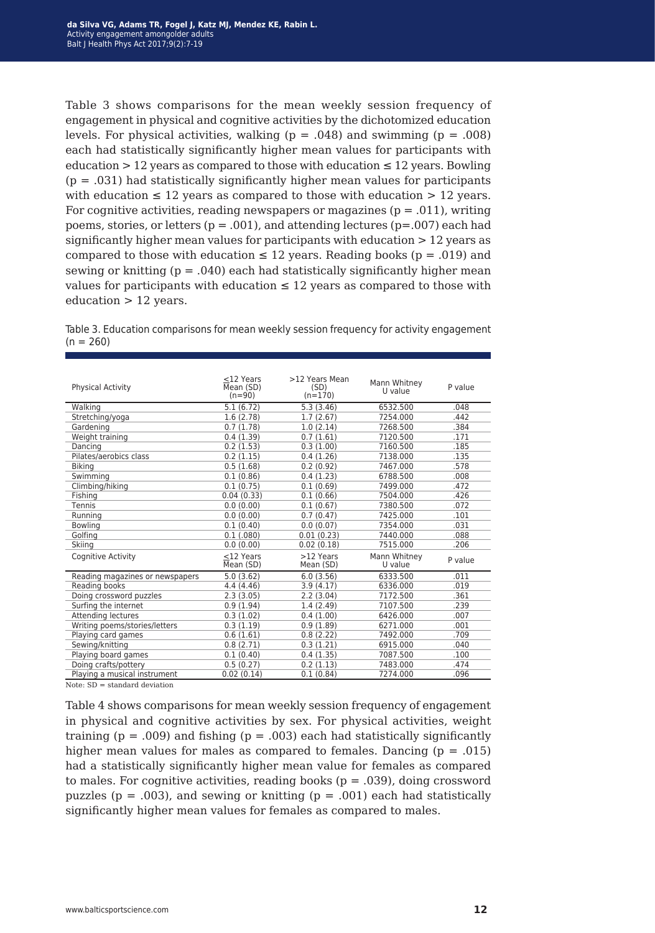Table 3 shows comparisons for the mean weekly session frequency of engagement in physical and cognitive activities by the dichotomized education levels. For physical activities, walking ( $p = .048$ ) and swimming ( $p = .008$ ) each had statistically significantly higher mean values for participants with education  $> 12$  years as compared to those with education  $\leq 12$  years. Bowling  $(p = .031)$  had statistically significantly higher mean values for participants with education  $\leq 12$  years as compared to those with education  $> 12$  years. For cognitive activities, reading newspapers or magazines ( $p = .011$ ), writing poems, stories, or letters ( $p = .001$ ), and attending lectures ( $p = .007$ ) each had significantly higher mean values for participants with education > 12 years as compared to those with education  $\leq 12$  years. Reading books (p = .019) and sewing or knitting  $(p = .040)$  each had statistically significantly higher mean values for participants with education  $\leq 12$  years as compared to those with education > 12 years.

Table 3. Education comparisons for mean weekly session frequency for activity engagement  $(n = 260)$ 

| <b>Physical Activity</b>        | $<$ 12 Years<br>Mean (SD)<br>$(n=90)$ | >12 Years Mean<br>(SD)<br>$(n=170)$ | Mann Whitney<br>U value | P value |
|---------------------------------|---------------------------------------|-------------------------------------|-------------------------|---------|
| Walking                         | 5.1(6.72)                             | 5.3(3.46)                           | 6532.500                | .048    |
| Stretching/yoga                 | 1.6(2.78)                             | 1.7(2.67)                           | 7254.000                | .442    |
| Gardening                       | 0.7(1.78)                             | 1.0(2.14)                           | 7268.500                | .384    |
| Weight training                 | 0.4(1.39)                             | 0.7(1.61)                           | 7120.500                | .171    |
| Dancing                         | 0.2(1.53)                             | 0.3(1.00)                           | 7160.500                | .185    |
| Pilates/aerobics class          | 0.2(1.15)                             | 0.4(1.26)                           | 7138.000                | .135    |
| <b>Biking</b>                   | 0.5(1.68)                             | 0.2(0.92)                           | 7467.000                | .578    |
| Swimming                        | 0.1(0.86)                             | 0.4(1.23)                           | 6788.500                | .008    |
| Climbing/hiking                 | 0.1(0.75)                             | 0.1(0.69)                           | 7499.000                | .472    |
| Fishing                         | 0.04(0.33)                            | 0.1(0.66)                           | 7504.000                | .426    |
| Tennis                          | 0.0(0.00)                             | 0.1(0.67)                           | 7380.500                | .072    |
| Running                         | 0.0(0.00)                             | 0.7(0.47)                           | 7425.000                | .101    |
| <b>Bowling</b>                  | 0.1(0.40)                             | 0.0(0.07)                           | 7354.000                | .031    |
| Golfing                         | 0.1(.080)                             | 0.01(0.23)                          | 7440.000                | .088    |
| Skiing                          | 0.0(0.00)                             | 0.02(0.18)                          | 7515.000                | .206    |
| Cognitive Activity              | $<$ 12 Years<br>Mean (SD)             | >12 Years<br>Mean (SD)              | Mann Whitney<br>U value | P value |
| Reading magazines or newspapers | 5.0(3.62)                             | 6.0(3.56)                           | 6333.500                | .011    |
| Reading books                   | 4.4(4.46)                             | 3.9(4.17)                           | 6336.000                | .019    |
| Doing crossword puzzles         | 2.3(3.05)                             | 2.2(3.04)                           | 7172.500                | .361    |
| Surfing the internet            | 0.9(1.94)                             | 1.4(2.49)                           | 7107.500                | .239    |
| <b>Attending lectures</b>       | 0.3(1.02)                             | 0.4(1.00)                           | 6426.000                | .007    |
| Writing poems/stories/letters   | 0.3(1.19)                             | 0.9(1.89)                           | 6271.000                | .001    |
| Playing card games              | 0.6(1.61)                             | 0.8(2.22)                           | 7492.000                | .709    |
| Sewing/knitting                 | 0.8(2.71)                             | 0.3(1.21)                           | 6915.000                | .040    |
| Playing board games             | 0.1(0.40)                             | 0.4(1.35)                           | 7087.500                | .100    |
| Doing crafts/pottery            | 0.5(0.27)                             | 0.2(1.13)                           | 7483.000                | .474    |
| Playing a musical instrument    | 0.02(0.14)                            | 0.1(0.84)                           | 7274.000                | .096    |

Note: SD = standard deviation

Table 4 shows comparisons for mean weekly session frequency of engagement in physical and cognitive activities by sex. For physical activities, weight training ( $p = .009$ ) and fishing ( $p = .003$ ) each had statistically significantly higher mean values for males as compared to females. Dancing  $(p = .015)$ had a statistically significantly higher mean value for females as compared to males. For cognitive activities, reading books  $(p = .039)$ , doing crossword puzzles ( $p = .003$ ), and sewing or knitting ( $p = .001$ ) each had statistically significantly higher mean values for females as compared to males.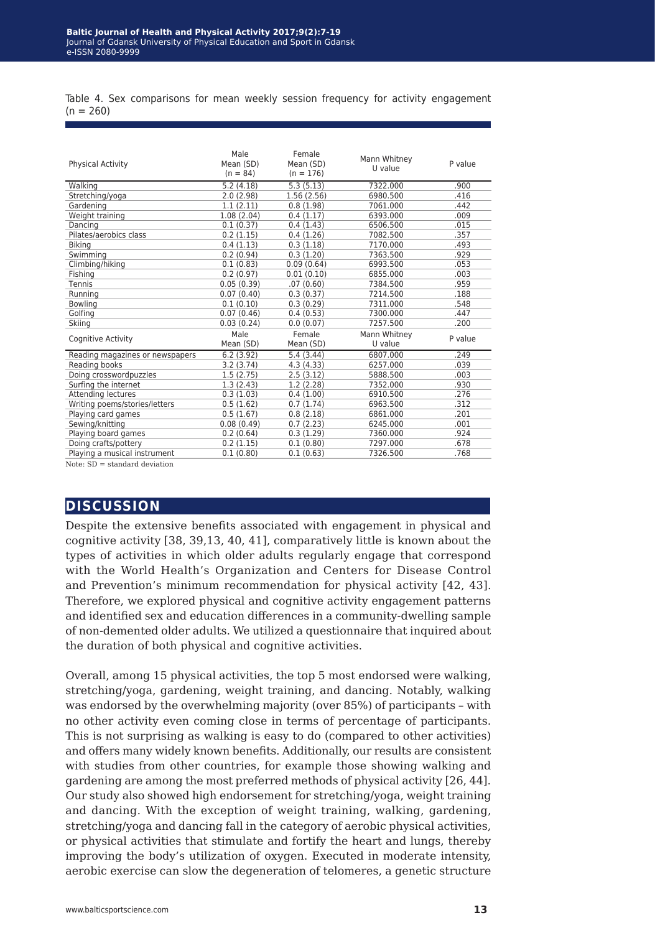Table 4. Sex comparisons for mean weekly session frequency for activity engagement  $(n = 260)$ 

| <b>Physical Activity</b>        | Male<br>Mean (SD)<br>$(n = 84)$ | Female<br>Mean (SD)<br>$(n = 176)$ | Mann Whitney<br>U value | P value |
|---------------------------------|---------------------------------|------------------------------------|-------------------------|---------|
| Walking                         | 5.2(4.18)                       | 5.3(5.13)                          | 7322.000                | .900    |
| Stretching/yoga                 | 2.0(2.98)                       | 1.56(2.56)                         | 6980.500                | .416    |
| Gardening                       | 1.1(2.11)                       | 0.8(1.98)                          | 7061.000                | .442    |
| Weight training                 | 1.08(2.04)                      | 0.4(1.17)                          | 6393.000                | .009    |
| Dancing                         | 0.1(0.37)                       | 0.4(1.43)                          | 6506.500                | .015    |
| Pilates/aerobics class          | 0.2(1.15)                       | 0.4(1.26)                          | 7082.500                | .357    |
| <b>Biking</b>                   | 0.4(1.13)                       | 0.3(1.18)                          | 7170.000                | .493    |
| Swimming                        | 0.2(0.94)                       | 0.3(1.20)                          | 7363.500                | .929    |
| Climbing/hiking                 | 0.1(0.83)                       | 0.09(0.64)                         | 6993.500                | .053    |
| Fishing                         | 0.2(0.97)                       | 0.01(0.10)                         | 6855.000                | .003    |
| Tennis                          | 0.05(0.39)                      | .07(0.60)                          | 7384.500                | .959    |
| Running                         | 0.07(0.40)                      | 0.3(0.37)                          | 7214.500                | .188    |
| Bowling                         | 0.1(0.10)                       | 0.3(0.29)                          | 7311.000                | .548    |
| Golfing                         | 0.07(0.46)                      | 0.4(0.53)                          | 7300.000                | .447    |
| Skiing                          | 0.03(0.24)                      | 0.0(0.07)                          | 7257.500                | .200    |
| Cognitive Activity              | Male<br>Mean (SD)               | Female<br>Mean (SD)                | Mann Whitney<br>U value | P value |
| Reading magazines or newspapers | 6.2(3.92)                       | 5.4(3.44)                          | 6807.000                | .249    |
| Reading books                   | 3.2(3.74)                       | 4.3(4.33)                          | 6257.000                | .039    |
| Doing crosswordpuzzles          | 1.5(2.75)                       | 2.5(3.12)                          | 5888.500                | .003    |
| Surfing the internet            | 1.3(2.43)                       | 1.2(2.28)                          | 7352.000                | .930    |
| Attending lectures              | 0.3(1.03)                       | 0.4(1.00)                          | 6910.500                | .276    |
| Writing poems/stories/letters   | 0.5(1.62)                       | 0.7(1.74)                          | 6963.500                | .312    |
| Playing card games              | 0.5(1.67)                       | 0.8(2.18)                          | 6861.000                | .201    |
| Sewing/knitting                 | 0.08(0.49)                      | 0.7(2.23)                          | 6245.000                | .001    |
| Playing board games             | 0.2(0.64)                       | 0.3(1.29)                          | 7360.000                | .924    |
| Doing crafts/pottery            | 0.2(1.15)                       | 0.1(0.80)                          | 7297.000                | .678    |
| Playing a musical instrument    | 0.1(0.80)                       | 0.1(0.63)                          | 7326.500                | .768    |

Note: SD = standard deviation

## **discussion**

Despite the extensive benefits associated with engagement in physical and cognitive activity [38, 39,13, 40, 41], comparatively little is known about the types of activities in which older adults regularly engage that correspond with the World Health's Organization and Centers for Disease Control and Prevention's minimum recommendation for physical activity [42, 43]. Therefore, we explored physical and cognitive activity engagement patterns and identified sex and education differences in a community-dwelling sample of non-demented older adults. We utilized a questionnaire that inquired about the duration of both physical and cognitive activities.

Overall, among 15 physical activities, the top 5 most endorsed were walking, stretching/yoga, gardening, weight training, and dancing. Notably, walking was endorsed by the overwhelming majority (over 85%) of participants – with no other activity even coming close in terms of percentage of participants. This is not surprising as walking is easy to do (compared to other activities) and offers many widely known benefits. Additionally, our results are consistent with studies from other countries, for example those showing walking and gardening are among the most preferred methods of physical activity [26, 44]. Our study also showed high endorsement for stretching/yoga, weight training and dancing. With the exception of weight training, walking, gardening, stretching/yoga and dancing fall in the category of aerobic physical activities, or physical activities that stimulate and fortify the heart and lungs, thereby improving the body's utilization of oxygen. Executed in moderate intensity, aerobic exercise can slow the degeneration of telomeres, a genetic structure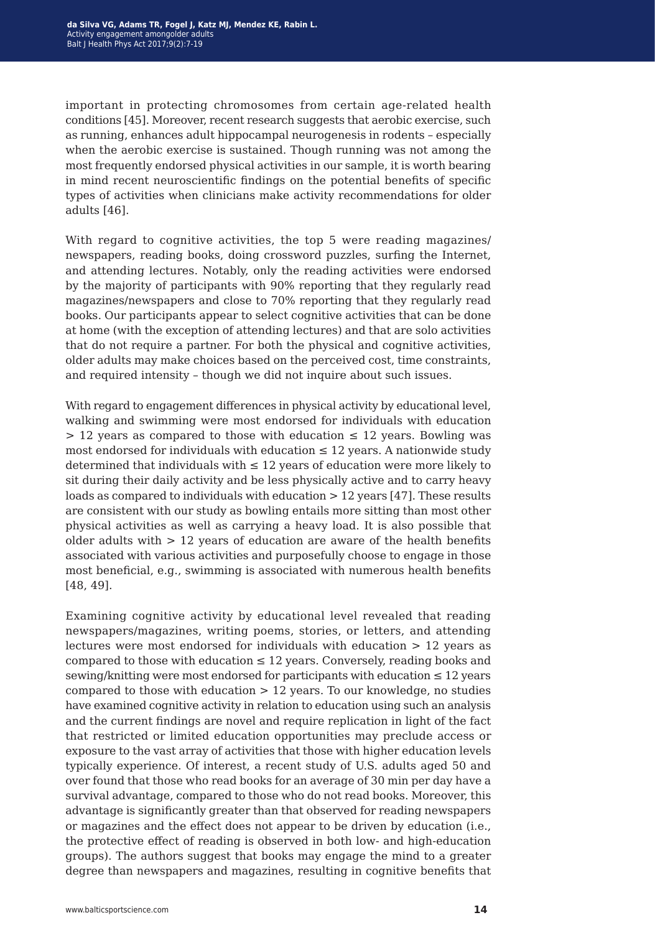important in protecting chromosomes from certain age-related health conditions [45]. Moreover, recent research suggests that aerobic exercise, such as running, enhances adult hippocampal neurogenesis in rodents – especially when the aerobic exercise is sustained. Though running was not among the most frequently endorsed physical activities in our sample, it is worth bearing in mind recent neuroscientific findings on the potential benefits of specific types of activities when clinicians make activity recommendations for older adults [46].

With regard to cognitive activities, the top 5 were reading magazines/ newspapers, reading books, doing crossword puzzles, surfing the Internet, and attending lectures. Notably, only the reading activities were endorsed by the majority of participants with 90% reporting that they regularly read magazines/newspapers and close to 70% reporting that they regularly read books. Our participants appear to select cognitive activities that can be done at home (with the exception of attending lectures) and that are solo activities that do not require a partner. For both the physical and cognitive activities, older adults may make choices based on the perceived cost, time constraints, and required intensity – though we did not inquire about such issues.

With regard to engagement differences in physical activity by educational level, walking and swimming were most endorsed for individuals with education  $> 12$  years as compared to those with education  $\leq 12$  years. Bowling was most endorsed for individuals with education  $\leq 12$  years. A nationwide study determined that individuals with  $\leq 12$  years of education were more likely to sit during their daily activity and be less physically active and to carry heavy loads as compared to individuals with education > 12 years [47]. These results are consistent with our study as bowling entails more sitting than most other physical activities as well as carrying a heavy load. It is also possible that older adults with  $> 12$  years of education are aware of the health benefits associated with various activities and purposefully choose to engage in those most beneficial, e.g., swimming is associated with numerous health benefits [48, 49].

Examining cognitive activity by educational level revealed that reading newspapers/magazines, writing poems, stories, or letters, and attending lectures were most endorsed for individuals with education > 12 years as compared to those with education  $\leq 12$  years. Conversely, reading books and sewing/knitting were most endorsed for participants with education  $\leq 12$  years compared to those with education  $> 12$  years. To our knowledge, no studies have examined cognitive activity in relation to education using such an analysis and the current findings are novel and require replication in light of the fact that restricted or limited education opportunities may preclude access or exposure to the vast array of activities that those with higher education levels typically experience. Of interest, a recent study of U.S. adults aged 50 and over found that those who read books for an average of 30 min per day have a survival advantage, compared to those who do not read books. Moreover, this advantage is significantly greater than that observed for reading newspapers or magazines and the effect does not appear to be driven by education (i.e., the protective effect of reading is observed in both low- and high-education groups). The authors suggest that books may engage the mind to a greater degree than newspapers and magazines, resulting in cognitive benefits that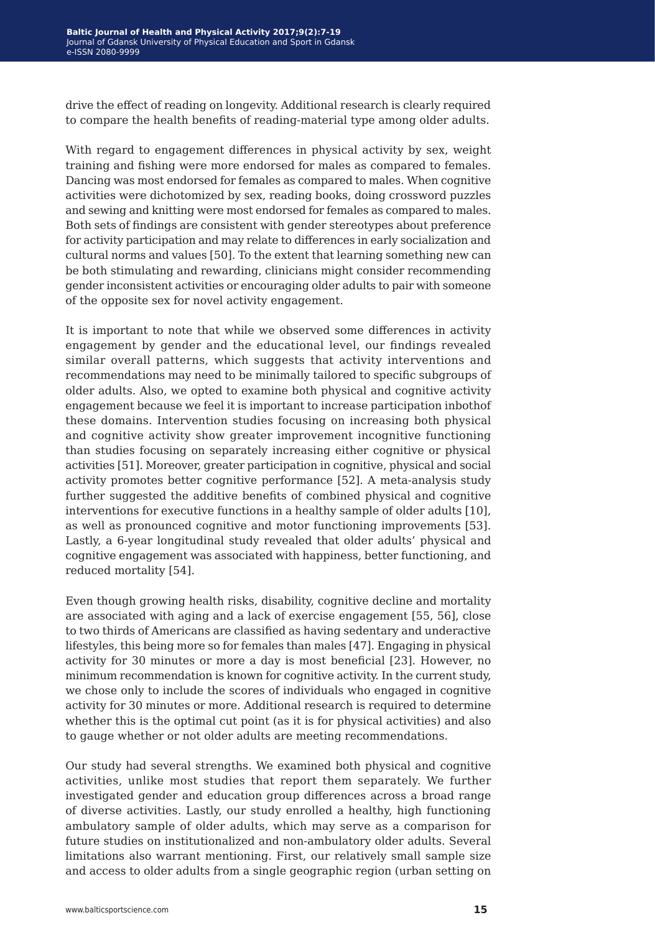drive the effect of reading on longevity. Additional research is clearly required to compare the health benefits of reading-material type among older adults.

With regard to engagement differences in physical activity by sex, weight training and fishing were more endorsed for males as compared to females. Dancing was most endorsed for females as compared to males. When cognitive activities were dichotomized by sex, reading books, doing crossword puzzles and sewing and knitting were most endorsed for females as compared to males. Both sets of findings are consistent with gender stereotypes about preference for activity participation and may relate to differences in early socialization and cultural norms and values [50]. To the extent that learning something new can be both stimulating and rewarding, clinicians might consider recommending gender inconsistent activities or encouraging older adults to pair with someone of the opposite sex for novel activity engagement.

It is important to note that while we observed some differences in activity engagement by gender and the educational level, our findings revealed similar overall patterns, which suggests that activity interventions and recommendations may need to be minimally tailored to specific subgroups of older adults. Also, we opted to examine both physical and cognitive activity engagement because we feel it is important to increase participation inbothof these domains. Intervention studies focusing on increasing both physical and cognitive activity show greater improvement incognitive functioning than studies focusing on separately increasing either cognitive or physical activities [51]. Moreover, greater participation in cognitive, physical and social activity promotes better cognitive performance [52]. A meta-analysis study further suggested the additive benefits of combined physical and cognitive interventions for executive functions in a healthy sample of older adults [10], as well as pronounced cognitive and motor functioning improvements [53]. Lastly, a 6-year longitudinal study revealed that older adults' physical and cognitive engagement was associated with happiness, better functioning, and reduced mortality [54].

Even though growing health risks, disability, cognitive decline and mortality are associated with aging and a lack of exercise engagement [55, 56], close to two thirds of Americans are classified as having sedentary and underactive lifestyles, this being more so for females than males [47]. Engaging in physical activity for 30 minutes or more a day is most beneficial [23]. However, no minimum recommendation is known for cognitive activity. In the current study, we chose only to include the scores of individuals who engaged in cognitive activity for 30 minutes or more. Additional research is required to determine whether this is the optimal cut point (as it is for physical activities) and also to gauge whether or not older adults are meeting recommendations.

Our study had several strengths. We examined both physical and cognitive activities, unlike most studies that report them separately. We further investigated gender and education group differences across a broad range of diverse activities. Lastly, our study enrolled a healthy, high functioning ambulatory sample of older adults, which may serve as a comparison for future studies on institutionalized and non-ambulatory older adults. Several limitations also warrant mentioning. First, our relatively small sample size and access to older adults from a single geographic region (urban setting on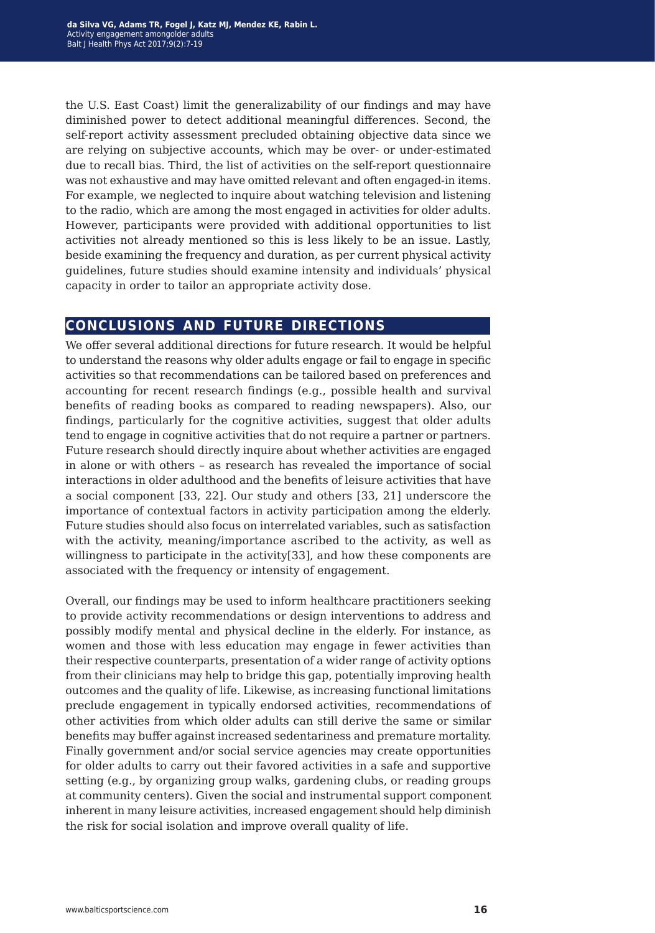the U.S. East Coast) limit the generalizability of our findings and may have diminished power to detect additional meaningful differences. Second, the self-report activity assessment precluded obtaining objective data since we are relying on subjective accounts, which may be over- or under-estimated due to recall bias. Third, the list of activities on the self-report questionnaire was not exhaustive and may have omitted relevant and often engaged-in items. For example, we neglected to inquire about watching television and listening to the radio, which are among the most engaged in activities for older adults. However, participants were provided with additional opportunities to list activities not already mentioned so this is less likely to be an issue. Lastly, beside examining the frequency and duration, as per current physical activity guidelines, future studies should examine intensity and individuals' physical capacity in order to tailor an appropriate activity dose.

## **conclusions and future directions**

We offer several additional directions for future research. It would be helpful to understand the reasons why older adults engage or fail to engage in specific activities so that recommendations can be tailored based on preferences and accounting for recent research findings (e.g., possible health and survival benefits of reading books as compared to reading newspapers). Also, our findings, particularly for the cognitive activities, suggest that older adults tend to engage in cognitive activities that do not require a partner or partners. Future research should directly inquire about whether activities are engaged in alone or with others – as research has revealed the importance of social interactions in older adulthood and the benefits of leisure activities that have a social component [33, 22]. Our study and others [33, 21] underscore the importance of contextual factors in activity participation among the elderly. Future studies should also focus on interrelated variables, such as satisfaction with the activity, meaning/importance ascribed to the activity, as well as willingness to participate in the activity[33], and how these components are associated with the frequency or intensity of engagement.

Overall, our findings may be used to inform healthcare practitioners seeking to provide activity recommendations or design interventions to address and possibly modify mental and physical decline in the elderly. For instance, as women and those with less education may engage in fewer activities than their respective counterparts, presentation of a wider range of activity options from their clinicians may help to bridge this gap, potentially improving health outcomes and the quality of life. Likewise, as increasing functional limitations preclude engagement in typically endorsed activities, recommendations of other activities from which older adults can still derive the same or similar benefits may buffer against increased sedentariness and premature mortality. Finally government and/or social service agencies may create opportunities for older adults to carry out their favored activities in a safe and supportive setting (e.g., by organizing group walks, gardening clubs, or reading groups at community centers). Given the social and instrumental support component inherent in many leisure activities, increased engagement should help diminish the risk for social isolation and improve overall quality of life.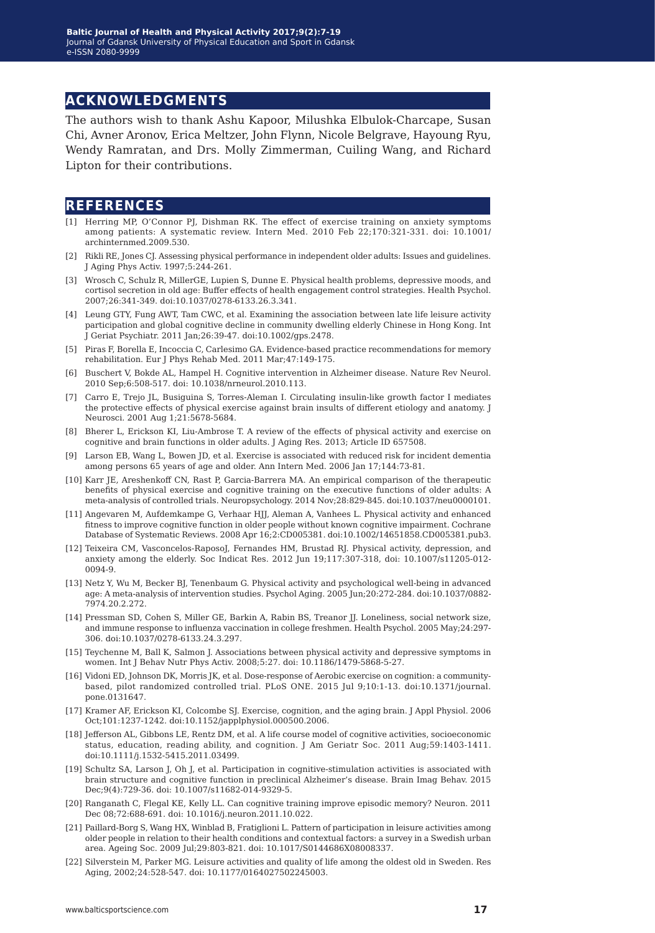## **acknowledgments**

The authors wish to thank Ashu Kapoor, Milushka Elbulok-Charcape, Susan Chi, Avner Aronov, Erica Meltzer, John Flynn, Nicole Belgrave, Hayoung Ryu, Wendy Ramratan, and Drs. Molly Zimmerman, Cuiling Wang, and Richard Lipton for their contributions.

### **references**

- [1] Herring MP, O'Connor PJ, Dishman RK. The effect of exercise training on anxiety symptoms among patients: A systematic review. Intern Med. 2010 Feb 22;170:321-331. doi: 10.1001/ archinternmed.2009.530.
- [2] Rikli RE, Jones CJ. Assessing physical performance in independent older adults: Issues and guidelines. J Aging Phys Activ. 1997;5:244-261.
- [3] Wrosch C, Schulz R, MillerGE, Lupien S, Dunne E. Physical health problems, depressive moods, and cortisol secretion in old age: Buffer effects of health engagement control strategies. Health Psychol. 2007;26:341-349. doi:10.1037/0278-6133.26.3.341.
- [4] Leung GTY, Fung AWT, Tam CWC, et al. Examining the association between late life leisure activity participation and global cognitive decline in community dwelling elderly Chinese in Hong Kong. Int J Geriat Psychiatr. 2011 Jan;26:39-47. doi:10.1002/gps.2478.
- [5] Piras F, Borella E, Incoccia C, Carlesimo GA. Evidence-based practice recommendations for memory rehabilitation. Eur J Phys Rehab Med. 2011 Mar;47:149-175.
- [6] Buschert V, Bokde AL, Hampel H. Cognitive intervention in Alzheimer disease. Nature Rev Neurol. 2010 Sep;6:508-517. doi: 10.1038/nrneurol.2010.113.
- [7] Carro E, Trejo JL, Busiguina S, Torres-Aleman I. Circulating insulin-like growth factor I mediates the protective effects of physical exercise against brain insults of different etiology and anatomy. J Neurosci. 2001 Aug 1;21:5678-5684.
- [8] Bherer L, Erickson KI, Liu-Ambrose T. A review of the effects of physical activity and exercise on cognitive and brain functions in older adults. J Aging Res. 2013; Article ID 657508.
- [9] Larson EB, Wang L, Bowen JD, et al. Exercise is associated with reduced risk for incident dementia among persons 65 years of age and older. Ann Intern Med. 2006 Jan 17;144:73-81.
- [10] Karr JE, Areshenkoff CN, Rast P, Garcia-Barrera MA. An empirical comparison of the therapeutic benefits of physical exercise and cognitive training on the executive functions of older adults: A meta-analysis of controlled trials. Neuropsychology. 2014 Nov;28:829-845. doi:10.1037/neu0000101.
- [11] Angevaren M, Aufdemkampe G, Verhaar HJJ, Aleman A, Vanhees L. Physical activity and enhanced fitness to improve cognitive function in older people without known cognitive impairment. Cochrane Database of Systematic Reviews. 2008 Apr 16;2:CD005381. doi:10.1002/14651858.CD005381.pub3.
- [12] Teixeira CM, Vasconcelos-RaposoJ, Fernandes HM, Brustad RJ. Physical activity, depression, and anxiety among the elderly. Soc Indicat Res. 2012 Jun 19;117:307-318, doi: 10.1007/s11205-012- 0094-9.
- [13] Netz Y, Wu M, Becker BJ, Tenenbaum G. Physical activity and psychological well-being in advanced age: A meta-analysis of intervention studies. Psychol Aging. 2005 Jun;20:272-284. doi:10.1037/0882- 7974.20.2.272.
- [14] Pressman SD, Cohen S, Miller GE, Barkin A, Rabin BS, Treanor JJ. Loneliness, social network size, and immune response to influenza vaccination in college freshmen. Health Psychol. 2005 May;24:297- 306. doi:10.1037/0278-6133.24.3.297.
- [15] Teychenne M, Ball K, Salmon J. Associations between physical activity and depressive symptoms in women. Int J Behav Nutr Phys Activ. 2008;5:27. doi: 10.1186/1479-5868-5-27.
- [16] Vidoni ED, Johnson DK, Morris JK, et al. Dose-response of Aerobic exercise on cognition: a communitybased, pilot randomized controlled trial. PLoS ONE. 2015 Jul 9;10:1-13. doi:10.1371/journal. pone.0131647.
- [17] Kramer AF, Erickson KI, Colcombe SJ. Exercise, cognition, and the aging brain. J Appl Physiol. 2006 Oct;101:1237-1242. doi:10.1152/japplphysiol.000500.2006.
- [18] Jefferson AL, Gibbons LE, Rentz DM, et al. A life course model of cognitive activities, socioeconomic status, education, reading ability, and cognition. J Am Geriatr Soc. 2011 Aug;59:1403-1411. doi:10.1111/j.1532-5415.2011.03499.
- [19] Schultz SA, Larson J, Oh J, et al. Participation in cognitive-stimulation activities is associated with brain structure and cognitive function in preclinical Alzheimer's disease. Brain Imag Behav. 2015 Dec;9(4):729-36. doi: 10.1007/s11682-014-9329-5.
- [20] Ranganath C, Flegal KE, Kelly LL. Can cognitive training improve episodic memory? Neuron. 2011 Dec 08;72:688-691. doi: 10.1016/j.neuron.2011.10.022.
- [21] Paillard-Borg S, Wang HX, Winblad B, Fratiglioni L. Pattern of participation in leisure activities among older people in relation to their health conditions and contextual factors: a survey in a Swedish urban area. Ageing Soc. 2009 Jul;29:803-821. doi: 10.1017/S0144686X08008337.
- [22] Silverstein M, Parker MG. Leisure activities and quality of life among the oldest old in Sweden. Res Aging, 2002;24:528-547. doi: 10.1177/0164027502245003.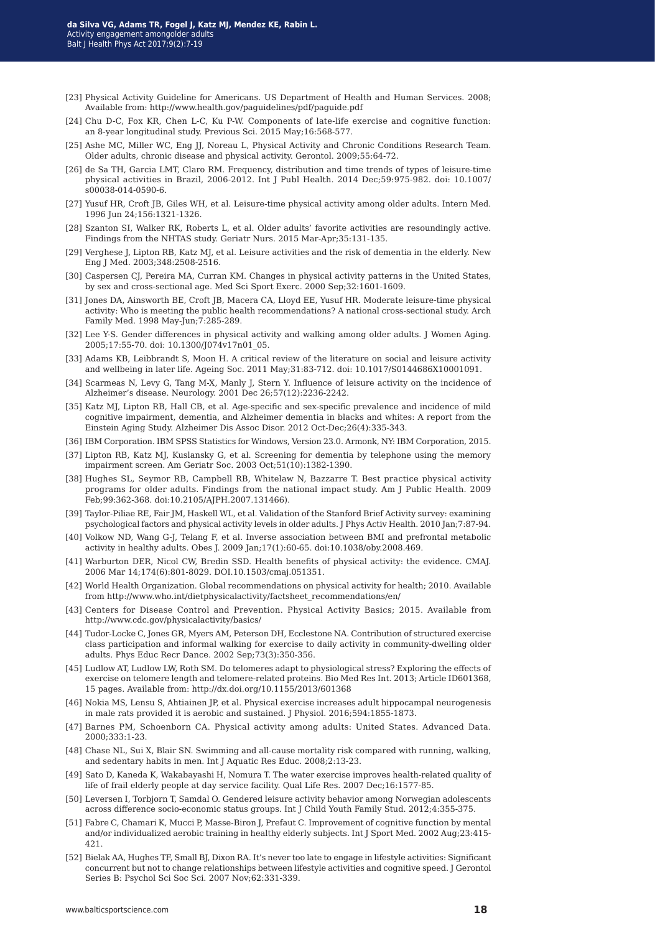- [23] Physical Activity Guideline for Americans. US Department of Health and Human Services. 2008; Available from: http://www.health.gov/paguidelines/pdf/paguide.pdf
- [24] Chu D-C, Fox KR, Chen L-C, Ku P-W. Components of late-life exercise and cognitive function: an 8-year longitudinal study. Previous Sci. 2015 May;16:568-577.
- [25] Ashe MC, Miller WC, Eng JJ, Noreau L, Physical Activity and Chronic Conditions Research Team. Older adults, chronic disease and physical activity. Gerontol. 2009;55:64-72.
- [26] de Sa TH, Garcia LMT, Claro RM. Frequency, distribution and time trends of types of leisure-time physical activities in Brazil, 2006-2012. Int J Publ Health. 2014 Dec;59:975-982. doi: 10.1007/ s00038-014-0590-6.
- [27] Yusuf HR, Croft JB, Giles WH, et al. Leisure-time physical activity among older adults. Intern Med. 1996 Jun 24;156:1321-1326.
- [28] Szanton SI, Walker RK, Roberts L, et al. Older adults' favorite activities are resoundingly active. Findings from the NHTAS study. Geriatr Nurs. 2015 Mar-Apr;35:131-135.
- [29] Verghese J, Lipton RB, Katz MJ, et al. Leisure activities and the risk of dementia in the elderly. New Eng J Med. 2003;348:2508-2516.
- [30] Caspersen CJ, Pereira MA, Curran KM. Changes in physical activity patterns in the United States, by sex and cross-sectional age. Med Sci Sport Exerc. 2000 Sep;32:1601-1609.
- [31] Jones DA, Ainsworth BE, Croft JB, Macera CA, Lloyd EE, Yusuf HR. Moderate leisure-time physical activity: Who is meeting the public health recommendations? A national cross-sectional study. Arch Family Med. 1998 May-Jun;7:285-289.
- [32] Lee Y-S. Gender differences in physical activity and walking among older adults. J Women Aging. 2005;17:55-70. doi: 10.1300/J074v17n01\_05.
- [33] Adams KB, Leibbrandt S, Moon H. A critical review of the literature on social and leisure activity and wellbeing in later life. Ageing Soc. 2011 May;31:83-712. doi: 10.1017/S0144686X10001091.
- [34] Scarmeas N, Levy G, Tang M-X, Manly J, Stern Y. Influence of leisure activity on the incidence of Alzheimer's disease. Neurology. 2001 Dec 26;57(12):2236-2242.
- [35] Katz MJ, Lipton RB, Hall CB, et al. Age-specific and sex-specific prevalence and incidence of mild cognitive impairment, dementia, and Alzheimer dementia in blacks and whites: A report from the Einstein Aging Study. Alzheimer Dis Assoc Disor. 2012 Oct-Dec;26(4):335-343.
- [36] IBM Corporation. IBM SPSS Statistics for Windows, Version 23.0. Armonk, NY: IBM Corporation, 2015.
- [37] Lipton RB, Katz MJ, Kuslansky G, et al. Screening for dementia by telephone using the memory impairment screen. Am Geriatr Soc. 2003 Oct;51(10):1382-1390.
- [38] Hughes SL, Seymor RB, Campbell RB, Whitelaw N, Bazzarre T. Best practice physical activity programs for older adults. Findings from the national impact study. Am J Public Health. 2009 Feb;99:362-368. doi:10.2105/AJPH.2007.131466).
- [39] Taylor-Piliae RE, Fair JM, Haskell WL, et al. Validation of the Stanford Brief Activity survey: examining psychological factors and physical activity levels in older adults. J Phys Activ Health. 2010 Jan;7:87-94.
- [40] Volkow ND, Wang G-J, Telang F, et al. Inverse association between BMI and prefrontal metabolic activity in healthy adults. Obes J. 2009 Jan;17(1):60-65. doi:10.1038/oby.2008.469.
- [41] Warburton DER, Nicol CW, Bredin SSD. Health benefits of physical activity: the evidence. CMAJ. 2006 Mar 14;174(6):801-8029. DOI.10.1503/cmaj.051351.
- [42] World Health Organization. Global recommendations on physical activity for health; 2010. Available from http://www.who.int/dietphysicalactivity/factsheet\_recommendations/en/
- [43] Centers for Disease Control and Prevention. Physical Activity Basics; 2015. Available from http://www.cdc.gov/physicalactivity/basics/
- [44] Tudor-Locke C, Jones GR, Myers AM, Peterson DH, Ecclestone NA. Contribution of structured exercise class participation and informal walking for exercise to daily activity in community-dwelling older adults. Phys Educ Recr Dance. 2002 Sep;73(3):350-356.
- [45] Ludlow AT, Ludlow LW, Roth SM. Do telomeres adapt to physiological stress? Exploring the effects of exercise on telomere length and telomere-related proteins. Bio Med Res Int. 2013; Article ID601368, 15 pages. Available from: http://dx.doi.org/10.1155/2013/601368
- [46] Nokia MS, Lensu S, Ahtiainen JP, et al. Physical exercise increases adult hippocampal neurogenesis in male rats provided it is aerobic and sustained. J Physiol. 2016;594:1855-1873.
- [47] Barnes PM, Schoenborn CA. Physical activity among adults: United States. Advanced Data. 2000;333:1-23.
- [48] Chase NL, Sui X, Blair SN. Swimming and all-cause mortality risk compared with running, walking, and sedentary habits in men. Int J Aquatic Res Educ. 2008;2:13-23.
- [49] Sato D, Kaneda K, Wakabayashi H, Nomura T. The water exercise improves health-related quality of life of frail elderly people at day service facility. Qual Life Res. 2007 Dec;16:1577-85.
- [50] Leversen I, Torbjorn T, Samdal O. Gendered leisure activity behavior among Norwegian adolescents across difference socio-economic status groups. Int J Child Youth Family Stud. 2012;4:355-375.
- [51] Fabre C, Chamari K, Mucci P, Masse-Biron J, Prefaut C. Improvement of cognitive function by mental and/or individualized aerobic training in healthy elderly subjects. Int J Sport Med. 2002 Aug;23:415- 421.
- [52] Bielak AA, Hughes TF, Small BJ, Dixon RA. It's never too late to engage in lifestyle activities: Significant concurrent but not to change relationships between lifestyle activities and cognitive speed. J Gerontol Series B: Psychol Sci Soc Sci. 2007 Nov;62:331-339.